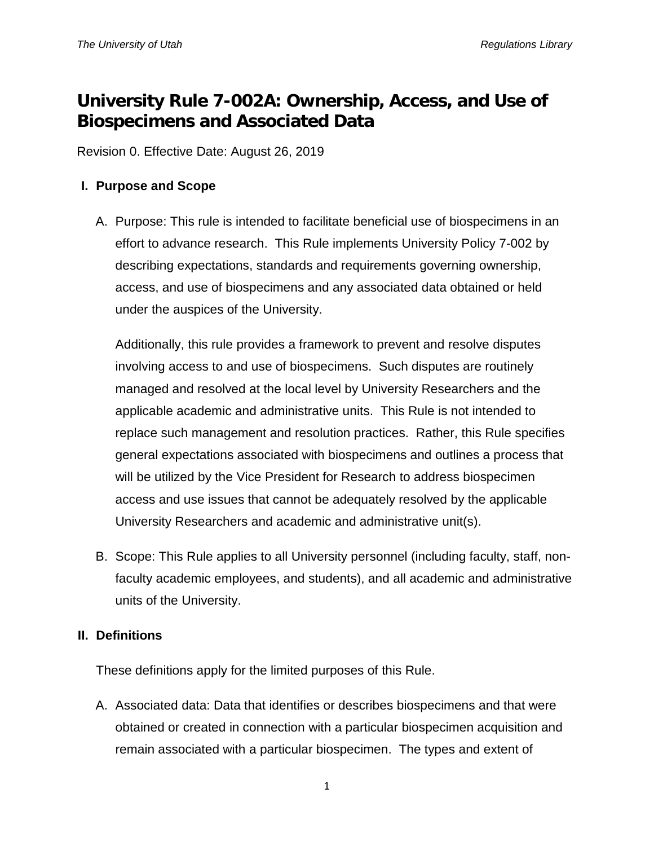# **University Rule 7-002A: Ownership, Access, and Use of Biospecimens and Associated Data**

Revision 0. Effective Date: August 26, 2019

### **I. Purpose and Scope**

A. Purpose: This rule is intended to facilitate beneficial use of biospecimens in an effort to advance research. This Rule implements University Policy 7-002 by describing expectations, standards and requirements governing ownership, access, and use of biospecimens and any associated data obtained or held under the auspices of the University.

Additionally, this rule provides a framework to prevent and resolve disputes involving access to and use of biospecimens. Such disputes are routinely managed and resolved at the local level by University Researchers and the applicable academic and administrative units. This Rule is not intended to replace such management and resolution practices. Rather, this Rule specifies general expectations associated with biospecimens and outlines a process that will be utilized by the Vice President for Research to address biospecimen access and use issues that cannot be adequately resolved by the applicable University Researchers and academic and administrative unit(s).

B. Scope: This Rule applies to all University personnel (including faculty, staff, nonfaculty academic employees, and students), and all academic and administrative units of the University.

#### **II. Definitions**

These definitions apply for the limited purposes of this Rule.

A. Associated data: Data that identifies or describes biospecimens and that were obtained or created in connection with a particular biospecimen acquisition and remain associated with a particular biospecimen. The types and extent of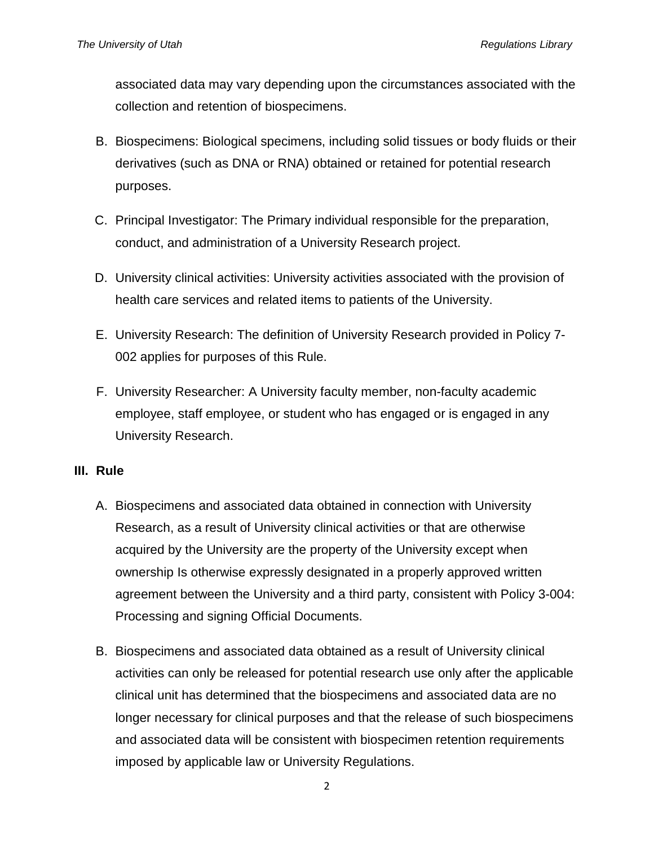associated data may vary depending upon the circumstances associated with the collection and retention of biospecimens.

- B. Biospecimens: Biological specimens, including solid tissues or body fluids or their derivatives (such as DNA or RNA) obtained or retained for potential research purposes.
- C. Principal Investigator: The Primary individual responsible for the preparation, conduct, and administration of a University Research project.
- D. University clinical activities: University activities associated with the provision of health care services and related items to patients of the University.
- E. University Research: The definition of University Research provided in Policy 7- 002 applies for purposes of this Rule.
- F. University Researcher: A University faculty member, non-faculty academic employee, staff employee, or student who has engaged or is engaged in any University Research.

#### **III. Rule**

- A. Biospecimens and associated data obtained in connection with University Research, as a result of University clinical activities or that are otherwise acquired by the University are the property of the University except when ownership Is otherwise expressly designated in a properly approved written agreement between the University and a third party, consistent with Policy 3-004: Processing and signing Official Documents.
- B. Biospecimens and associated data obtained as a result of University clinical activities can only be released for potential research use only after the applicable clinical unit has determined that the biospecimens and associated data are no longer necessary for clinical purposes and that the release of such biospecimens and associated data will be consistent with biospecimen retention requirements imposed by applicable law or University Regulations.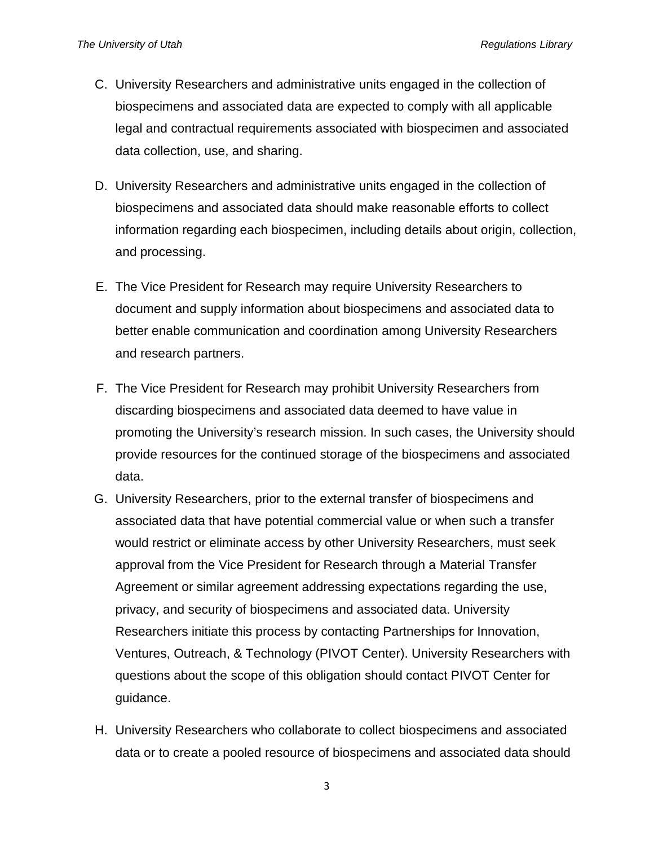- C. University Researchers and administrative units engaged in the collection of biospecimens and associated data are expected to comply with all applicable legal and contractual requirements associated with biospecimen and associated data collection, use, and sharing.
- D. University Researchers and administrative units engaged in the collection of biospecimens and associated data should make reasonable efforts to collect information regarding each biospecimen, including details about origin, collection, and processing.
- E. The Vice President for Research may require University Researchers to document and supply information about biospecimens and associated data to better enable communication and coordination among University Researchers and research partners.
- F. The Vice President for Research may prohibit University Researchers from discarding biospecimens and associated data deemed to have value in promoting the University's research mission. In such cases, the University should provide resources for the continued storage of the biospecimens and associated data.
- G. University Researchers, prior to the external transfer of biospecimens and associated data that have potential commercial value or when such a transfer would restrict or eliminate access by other University Researchers, must seek approval from the Vice President for Research through a Material Transfer Agreement or similar agreement addressing expectations regarding the use, privacy, and security of biospecimens and associated data. University Researchers initiate this process by contacting Partnerships for Innovation, Ventures, Outreach, & Technology (PIVOT Center). University Researchers with questions about the scope of this obligation should contact PIVOT Center for guidance.
- H. University Researchers who collaborate to collect biospecimens and associated data or to create a pooled resource of biospecimens and associated data should

3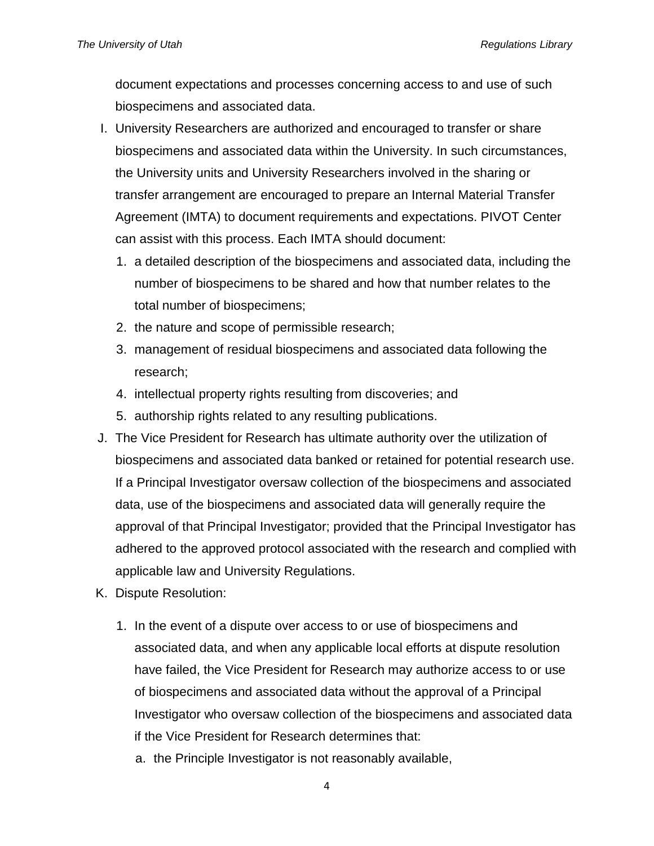document expectations and processes concerning access to and use of such biospecimens and associated data.

- I. University Researchers are authorized and encouraged to transfer or share biospecimens and associated data within the University. In such circumstances, the University units and University Researchers involved in the sharing or transfer arrangement are encouraged to prepare an Internal Material Transfer Agreement (IMTA) to document requirements and expectations. PIVOT Center can assist with this process. Each IMTA should document:
	- 1. a detailed description of the biospecimens and associated data, including the number of biospecimens to be shared and how that number relates to the total number of biospecimens;
	- 2. the nature and scope of permissible research;
	- 3. management of residual biospecimens and associated data following the research;
	- 4. intellectual property rights resulting from discoveries; and
	- 5. authorship rights related to any resulting publications.
- J. The Vice President for Research has ultimate authority over the utilization of biospecimens and associated data banked or retained for potential research use. If a Principal Investigator oversaw collection of the biospecimens and associated data, use of the biospecimens and associated data will generally require the approval of that Principal Investigator; provided that the Principal Investigator has adhered to the approved protocol associated with the research and complied with applicable law and University Regulations.
- K. Dispute Resolution:
	- 1. In the event of a dispute over access to or use of biospecimens and associated data, and when any applicable local efforts at dispute resolution have failed, the Vice President for Research may authorize access to or use of biospecimens and associated data without the approval of a Principal Investigator who oversaw collection of the biospecimens and associated data if the Vice President for Research determines that:
		- a. the Principle Investigator is not reasonably available,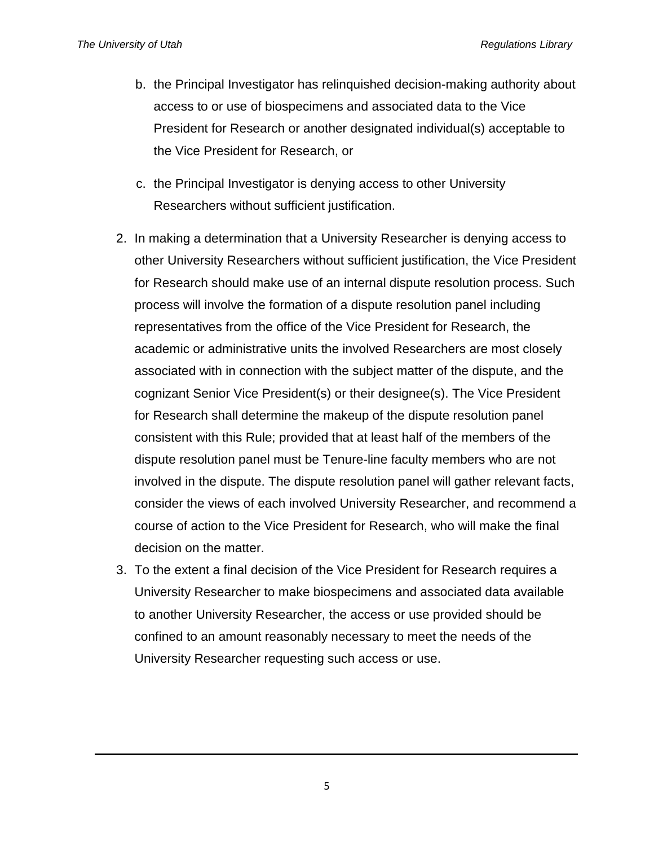- b. the Principal Investigator has relinquished decision-making authority about access to or use of biospecimens and associated data to the Vice President for Research or another designated individual(s) acceptable to the Vice President for Research, or
- c. the Principal Investigator is denying access to other University Researchers without sufficient justification.
- 2. In making a determination that a University Researcher is denying access to other University Researchers without sufficient justification, the Vice President for Research should make use of an internal dispute resolution process. Such process will involve the formation of a dispute resolution panel including representatives from the office of the Vice President for Research, the academic or administrative units the involved Researchers are most closely associated with in connection with the subject matter of the dispute, and the cognizant Senior Vice President(s) or their designee(s). The Vice President for Research shall determine the makeup of the dispute resolution panel consistent with this Rule; provided that at least half of the members of the dispute resolution panel must be Tenure-line faculty members who are not involved in the dispute. The dispute resolution panel will gather relevant facts, consider the views of each involved University Researcher, and recommend a course of action to the Vice President for Research, who will make the final decision on the matter.
- 3. To the extent a final decision of the Vice President for Research requires a University Researcher to make biospecimens and associated data available to another University Researcher, the access or use provided should be confined to an amount reasonably necessary to meet the needs of the University Researcher requesting such access or use.

5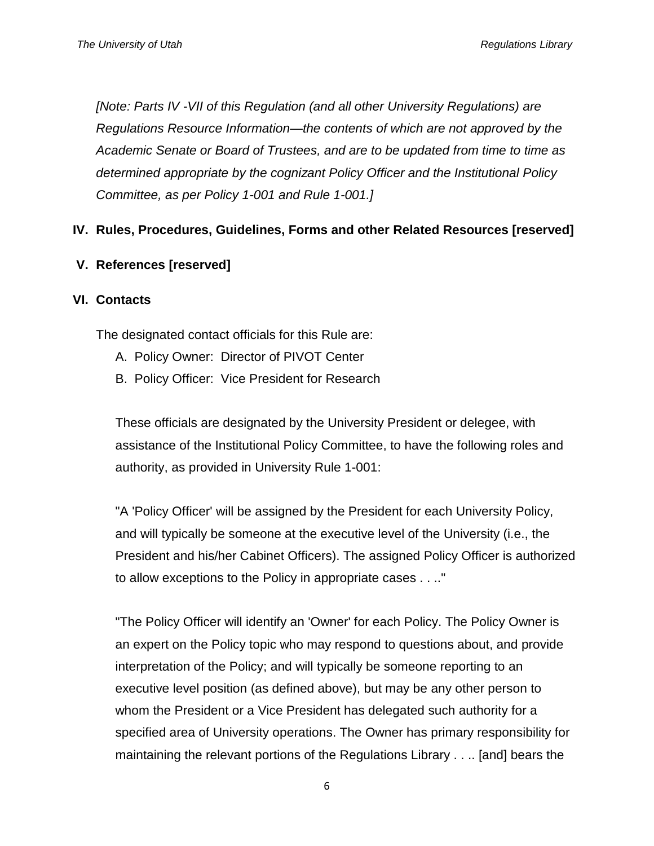*[Note: Parts IV -VII of this Regulation (and all other University Regulations) are Regulations Resource Information—the contents of which are not approved by the Academic Senate or Board of Trustees, and are to be updated from time to time as determined appropriate by the cognizant Policy Officer and the Institutional Policy Committee, as per Policy 1-001 and Rule 1-001.]*

## **IV. Rules, Procedures, Guidelines, Forms and other Related Resources [reserved]**

**V. References [reserved]**

#### **VI. Contacts**

The designated contact officials for this Rule are:

- A. Policy Owner: Director of PIVOT Center
- B. Policy Officer: Vice President for Research

These officials are designated by the University President or delegee, with assistance of the Institutional Policy Committee, to have the following roles and authority, as provided in University Rule 1-001:

"A 'Policy Officer' will be assigned by the President for each University Policy, and will typically be someone at the executive level of the University (i.e., the President and his/her Cabinet Officers). The assigned Policy Officer is authorized to allow exceptions to the Policy in appropriate cases . . .."

"The Policy Officer will identify an 'Owner' for each Policy. The Policy Owner is an expert on the Policy topic who may respond to questions about, and provide interpretation of the Policy; and will typically be someone reporting to an executive level position (as defined above), but may be any other person to whom the President or a Vice President has delegated such authority for a specified area of University operations. The Owner has primary responsibility for maintaining the relevant portions of the Regulations Library . . .. [and] bears the